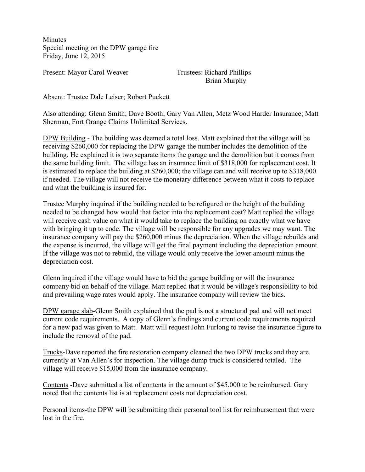**Minutes** Special meeting on the DPW garage fire Friday, June 12, 2015

Present: Mayor Carol Weaver Trustees: Richard Phillips

Brian Murphy

Absent: Trustee Dale Leiser; Robert Puckett

Also attending: Glenn Smith; Dave Booth; Gary Van Allen, Metz Wood Harder Insurance; Matt Sherman, Fort Orange Claims Unlimited Services.

DPW Building - The building was deemed a total loss. Matt explained that the village will be receiving \$260,000 for replacing the DPW garage the number includes the demolition of the building. He explained it is two separate items the garage and the demolition but it comes from the same building limit. The village has an insurance limit of \$318,000 for replacement cost. It is estimated to replace the building at \$260,000; the village can and will receive up to \$318,000 if needed. The village will not receive the monetary difference between what it costs to replace and what the building is insured for.

Trustee Murphy inquired if the building needed to be refigured or the height of the building needed to be changed how would that factor into the replacement cost? Matt replied the village will receive cash value on what it would take to replace the building on exactly what we have with bringing it up to code. The village will be responsible for any upgrades we may want. The insurance company will pay the \$260,000 minus the depreciation. When the village rebuilds and the expense is incurred, the village will get the final payment including the depreciation amount. If the village was not to rebuild, the village would only receive the lower amount minus the depreciation cost.

Glenn inquired if the village would have to bid the garage building or will the insurance company bid on behalf of the village. Matt replied that it would be village's responsibility to bid and prevailing wage rates would apply. The insurance company will review the bids.

DPW garage slab-Glenn Smith explained that the pad is not a structural pad and will not meet current code requirements. A copy of Glenn's findings and current code requirements required for a new pad was given to Matt. Matt will request John Furlong to revise the insurance figure to include the removal of the pad.

Trucks-Dave reported the fire restoration company cleaned the two DPW trucks and they are currently at Van Allen's for inspection. The village dump truck is considered totaled. The village will receive \$15,000 from the insurance company.

Contents -Dave submitted a list of contents in the amount of \$45,000 to be reimbursed. Gary noted that the contents list is at replacement costs not depreciation cost.

Personal items-the DPW will be submitting their personal tool list for reimbursement that were lost in the fire.